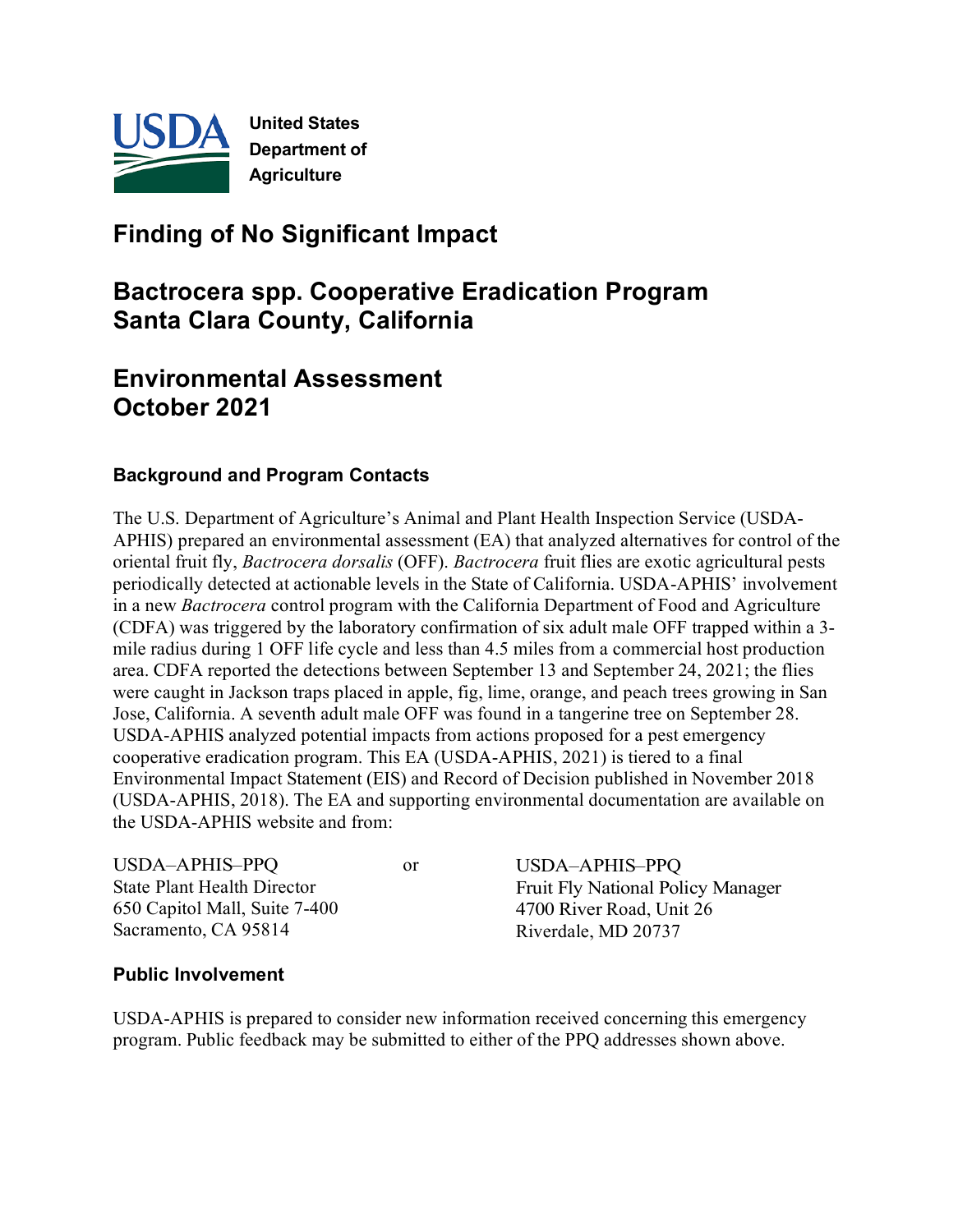

# **Finding of No Significant Impact**

# **Bactrocera spp. Cooperative Eradication Program Santa Clara County, California**

# **Environmental Assessment October 2021**

#### **Background and Program Contacts**

The U.S. Department of Agriculture's Animal and Plant Health Inspection Service (USDA-APHIS) prepared an environmental assessment (EA) that analyzed alternatives for control of the oriental fruit fly, *Bactrocera dorsalis* (OFF). *Bactrocera* fruit flies are exotic agricultural pests periodically detected at actionable levels in the State of California. USDA-APHIS' involvement in a new *Bactrocera* control program with the California Department of Food and Agriculture (CDFA) was triggered by the laboratory confirmation of six adult male OFF trapped within a 3 mile radius during 1 OFF life cycle and less than 4.5 miles from a commercial host production area. CDFA reported the detections between September 13 and September 24, 2021; the flies were caught in Jackson traps placed in apple, fig, lime, orange, and peach trees growing in San Jose, California. A seventh adult male OFF was found in a tangerine tree on September 28. USDA-APHIS analyzed potential impacts from actions proposed for a pest emergency cooperative eradication program. This EA (USDA-APHIS, 2021) is tiered to a final Environmental Impact Statement (EIS) and Record of Decision published in November 2018 (USDA-APHIS, 2018). The EA and supporting environmental documentation are available on the USDA-APHIS website and from:

| USDA-APHIS-PPQ                | or | USDA-APHIS-PPQ                           |
|-------------------------------|----|------------------------------------------|
| State Plant Health Director   |    | <b>Fruit Fly National Policy Manager</b> |
| 650 Capitol Mall, Suite 7-400 |    | 4700 River Road, Unit 26                 |
| Sacramento, CA 95814          |    | Riverdale, MD 20737                      |

#### **Public Involvement**

USDA-APHIS is prepared to consider new information received concerning this emergency program. Public feedback may be submitted to either of the PPQ addresses shown above.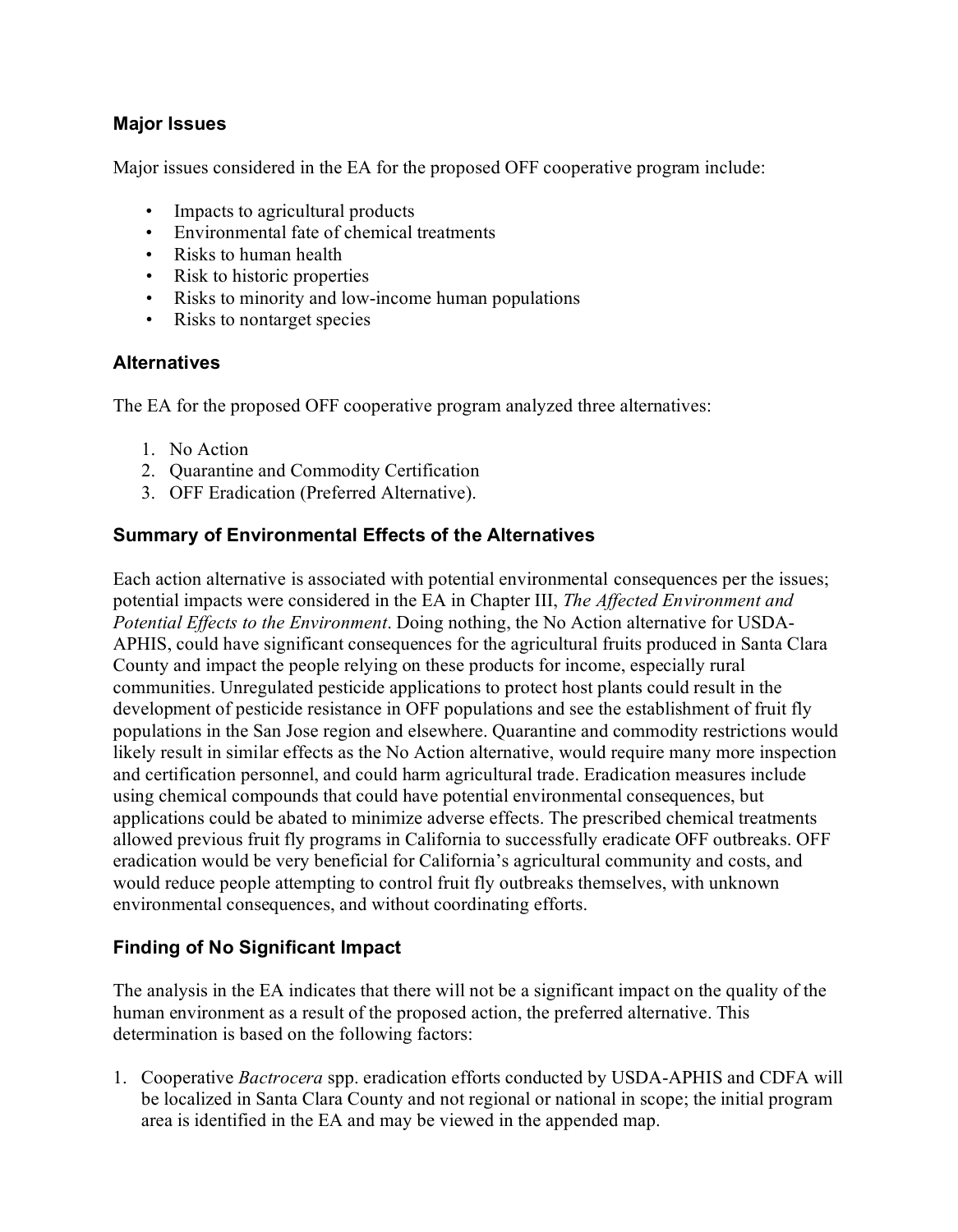#### **Major Issues**

Major issues considered in the EA for the proposed OFF cooperative program include:

- Impacts to agricultural products
- Environmental fate of chemical treatments
- Risks to human health
- Risk to historic properties
- Risks to minority and low-income human populations
- Risks to nontarget species

#### **Alternatives**

The EA for the proposed OFF cooperative program analyzed three alternatives:

- 1. No Action
- 2. Quarantine and Commodity Certification
- 3. OFF Eradication (Preferred Alternative).

### **Summary of Environmental Effects of the Alternatives**

Each action alternative is associated with potential environmental consequences per the issues; potential impacts were considered in the EA in Chapter III, *The Affected Environment and Potential Effects to the Environment*. Doing nothing, the No Action alternative for USDA-APHIS, could have significant consequences for the agricultural fruits produced in Santa Clara County and impact the people relying on these products for income, especially rural communities. Unregulated pesticide applications to protect host plants could result in the development of pesticide resistance in OFF populations and see the establishment of fruit fly populations in the San Jose region and elsewhere. Quarantine and commodity restrictions would likely result in similar effects as the No Action alternative, would require many more inspection and certification personnel, and could harm agricultural trade. Eradication measures include using chemical compounds that could have potential environmental consequences, but applications could be abated to minimize adverse effects. The prescribed chemical treatments allowed previous fruit fly programs in California to successfully eradicate OFF outbreaks. OFF eradication would be very beneficial for California's agricultural community and costs, and would reduce people attempting to control fruit fly outbreaks themselves, with unknown environmental consequences, and without coordinating efforts.

### **Finding of No Significant Impact**

The analysis in the EA indicates that there will not be a significant impact on the quality of the human environment as a result of the proposed action, the preferred alternative. This determination is based on the following factors:

1. Cooperative *Bactrocera* spp. eradication efforts conducted by USDA-APHIS and CDFA will be localized in Santa Clara County and not regional or national in scope; the initial program area is identified in the EA and may be viewed in the appended map.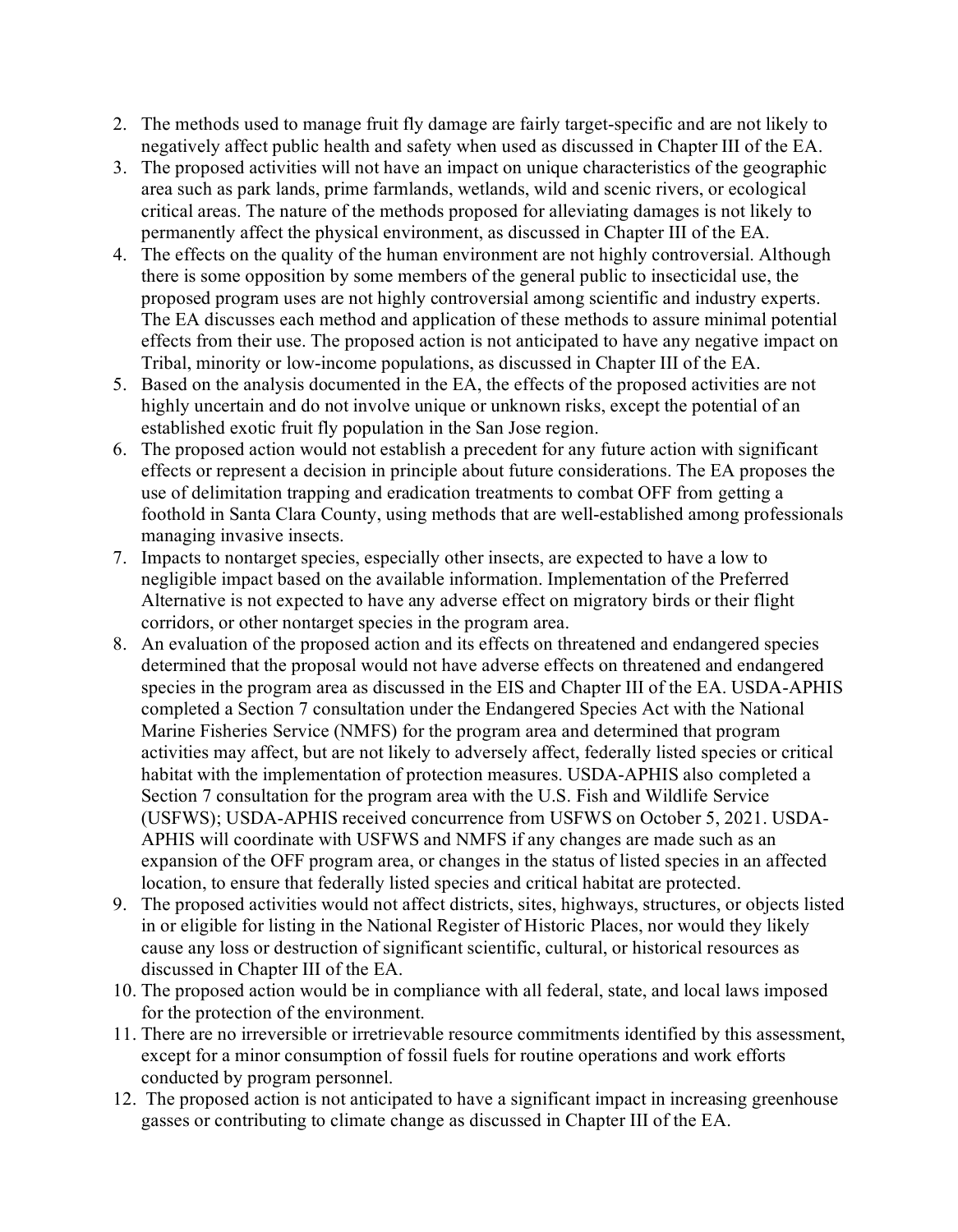- 2. The methods used to manage fruit fly damage are fairly target-specific and are not likely to negatively affect public health and safety when used as discussed in Chapter III of the EA.
- 3. The proposed activities will not have an impact on unique characteristics of the geographic area such as park lands, prime farmlands, wetlands, wild and scenic rivers, or ecological critical areas. The nature of the methods proposed for alleviating damages is not likely to permanently affect the physical environment, as discussed in Chapter III of the EA.
- 4. The effects on the quality of the human environment are not highly controversial. Although there is some opposition by some members of the general public to insecticidal use, the proposed program uses are not highly controversial among scientific and industry experts. The EA discusses each method and application of these methods to assure minimal potential effects from their use. The proposed action is not anticipated to have any negative impact on Tribal, minority or low-income populations, as discussed in Chapter III of the EA.
- 5. Based on the analysis documented in the EA, the effects of the proposed activities are not highly uncertain and do not involve unique or unknown risks, except the potential of an established exotic fruit fly population in the San Jose region.
- 6. The proposed action would not establish a precedent for any future action with significant effects or represent a decision in principle about future considerations. The EA proposes the use of delimitation trapping and eradication treatments to combat OFF from getting a foothold in Santa Clara County, using methods that are well-established among professionals managing invasive insects.
- 7. Impacts to nontarget species, especially other insects, are expected to have a low to negligible impact based on the available information. Implementation of the Preferred Alternative is not expected to have any adverse effect on migratory birds or their flight corridors, or other nontarget species in the program area.
- 8. An evaluation of the proposed action and its effects on threatened and endangered species determined that the proposal would not have adverse effects on threatened and endangered species in the program area as discussed in the EIS and Chapter III of the EA. USDA-APHIS completed a Section 7 consultation under the Endangered Species Act with the National Marine Fisheries Service (NMFS) for the program area and determined that program activities may affect, but are not likely to adversely affect, federally listed species or critical habitat with the implementation of protection measures. USDA-APHIS also completed a Section 7 consultation for the program area with the U.S. Fish and Wildlife Service (USFWS); USDA-APHIS received concurrence from USFWS on October 5, 2021. USDA-APHIS will coordinate with USFWS and NMFS if any changes are made such as an expansion of the OFF program area, or changes in the status of listed species in an affected location, to ensure that federally listed species and critical habitat are protected.
- 9. The proposed activities would not affect districts, sites, highways, structures, or objects listed in or eligible for listing in the National Register of Historic Places, nor would they likely cause any loss or destruction of significant scientific, cultural, or historical resources as discussed in Chapter III of the EA.
- 10. The proposed action would be in compliance with all federal, state, and local laws imposed for the protection of the environment.
- 11. There are no irreversible or irretrievable resource commitments identified by this assessment, except for a minor consumption of fossil fuels for routine operations and work efforts conducted by program personnel.
- 12. The proposed action is not anticipated to have a significant impact in increasing greenhouse gasses or contributing to climate change as discussed in Chapter III of the EA.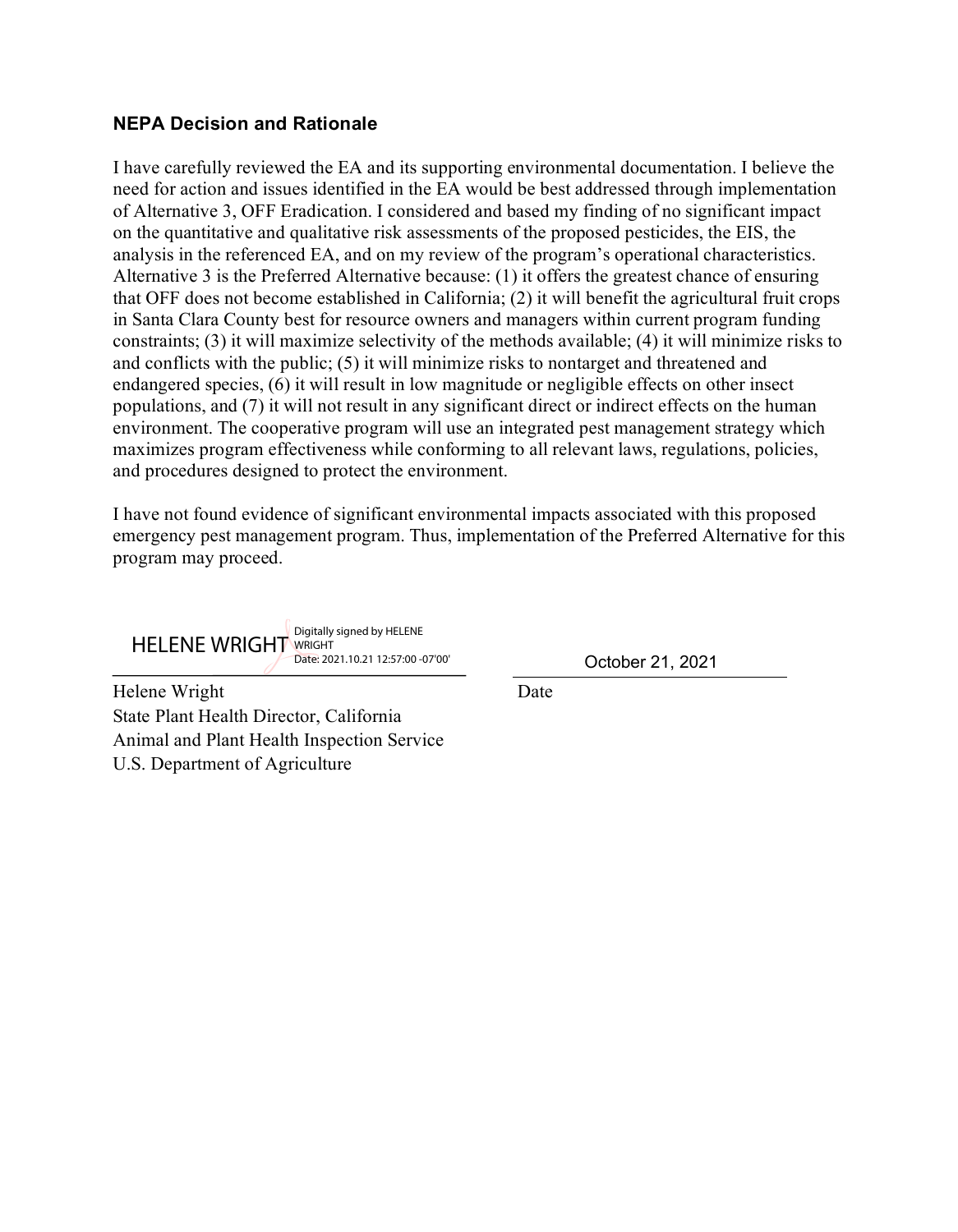#### **NEPA Decision and Rationale**

I have carefully reviewed the EA and its supporting environmental documentation. I believe the need for action and issues identified in the EA would be best addressed through implementation of Alternative 3, OFF Eradication. I considered and based my finding of no significant impact on the quantitative and qualitative risk assessments of the proposed pesticides, the EIS, the analysis in the referenced EA, and on my review of the program's operational characteristics. Alternative 3 is the Preferred Alternative because: (1) it offers the greatest chance of ensuring that OFF does not become established in California; (2) it will benefit the agricultural fruit crops in Santa Clara County best for resource owners and managers within current program funding constraints; (3) it will maximize selectivity of the methods available; (4) it will minimize risks to and conflicts with the public; (5) it will minimize risks to nontarget and threatened and endangered species, (6) it will result in low magnitude or negligible effects on other insect populations, and (7) it will not result in any significant direct or indirect effects on the human environment. The cooperative program will use an integrated pest management strategy which maximizes program effectiveness while conforming to all relevant laws, regulations, policies, and procedures designed to protect the environment.

I have not found evidence of significant environmental impacts associated with this proposed emergency pest management program. Thus, implementation of the Preferred Alternative for this program may proceed.

HELENE WRIGHT Digitally signed by HELENE Date: 2021.10.21 12:57:00 -07'00'

October 21, 2021

Helene Wright Date State Plant Health Director, California Animal and Plant Health Inspection Service U.S. Department of Agriculture